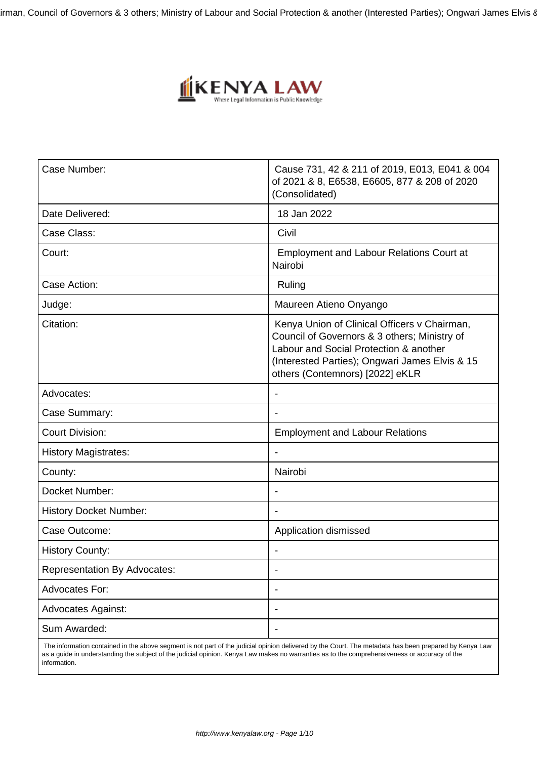

| Case Number:                        | Cause 731, 42 & 211 of 2019, E013, E041 & 004<br>of 2021 & 8, E6538, E6605, 877 & 208 of 2020<br>(Consolidated)                                                                                                             |
|-------------------------------------|-----------------------------------------------------------------------------------------------------------------------------------------------------------------------------------------------------------------------------|
| Date Delivered:                     | 18 Jan 2022                                                                                                                                                                                                                 |
| Case Class:                         | Civil                                                                                                                                                                                                                       |
| Court:                              | <b>Employment and Labour Relations Court at</b><br>Nairobi                                                                                                                                                                  |
| Case Action:                        | Ruling                                                                                                                                                                                                                      |
| Judge:                              | Maureen Atieno Onyango                                                                                                                                                                                                      |
| Citation:                           | Kenya Union of Clinical Officers v Chairman,<br>Council of Governors & 3 others; Ministry of<br>Labour and Social Protection & another<br>(Interested Parties); Ongwari James Elvis & 15<br>others (Contemnors) [2022] eKLR |
| Advocates:                          |                                                                                                                                                                                                                             |
| Case Summary:                       |                                                                                                                                                                                                                             |
| <b>Court Division:</b>              | <b>Employment and Labour Relations</b>                                                                                                                                                                                      |
| <b>History Magistrates:</b>         |                                                                                                                                                                                                                             |
| County:                             | Nairobi                                                                                                                                                                                                                     |
| Docket Number:                      |                                                                                                                                                                                                                             |
| <b>History Docket Number:</b>       |                                                                                                                                                                                                                             |
| Case Outcome:                       | Application dismissed                                                                                                                                                                                                       |
| <b>History County:</b>              |                                                                                                                                                                                                                             |
| <b>Representation By Advocates:</b> | $\blacksquare$                                                                                                                                                                                                              |
| Advocates For:                      |                                                                                                                                                                                                                             |
| <b>Advocates Against:</b>           |                                                                                                                                                                                                                             |
| Sum Awarded:                        |                                                                                                                                                                                                                             |

 The information contained in the above segment is not part of the judicial opinion delivered by the Court. The metadata has been prepared by Kenya Law as a guide in understanding the subject of the judicial opinion. Kenya Law makes no warranties as to the comprehensiveness or accuracy of the information.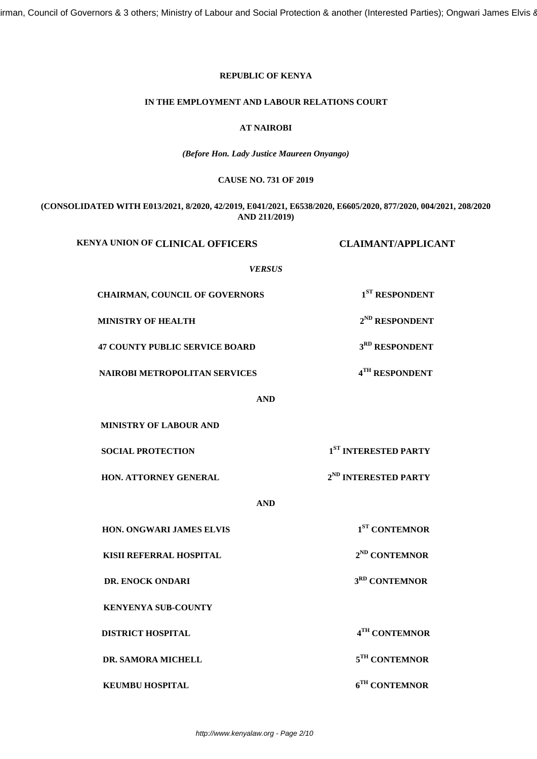# **REPUBLIC OF KENYA**

#### **IN THE EMPLOYMENT AND LABOUR RELATIONS COURT**

# **AT NAIROBI**

*(Before Hon. Lady Justice Maureen Onyango)*

#### **CAUSE NO. 731 OF 2019**

**(CONSOLIDATED WITH E013/2021, 8/2020, 42/2019, E041/2021, E6538/2020, E6605/2020, 877/2020, 004/2021, 208/2020 AND 211/2019)**

| <b>KENYA UNION OF CLINICAL OFFICERS</b> | <b>CLAIMANT/APPLICANT</b>        |  |
|-----------------------------------------|----------------------------------|--|
| <b>VERSUS</b>                           |                                  |  |
| CHAIRMAN, COUNCIL OF GOVERNORS          | $1ST$ RESPONDENT                 |  |
| <b>MINISTRY OF HEALTH</b>               | 2 <sup>ND</sup> RESPONDENT       |  |
| <b>47 COUNTY PUBLIC SERVICE BOARD</b>   | 3 <sup>RD</sup> RESPONDENT       |  |
| <b>NAIROBI METROPOLITAN SERVICES</b>    | 4TH RESPONDENT                   |  |
| <b>AND</b>                              |                                  |  |
| <b>MINISTRY OF LABOUR AND</b>           |                                  |  |
| <b>SOCIAL PROTECTION</b>                | 1 <sup>ST</sup> INTERESTED PARTY |  |
| HON. ATTORNEY GENERAL                   | $2^{ND}$ INTERESTED PARTY        |  |
| <b>AND</b>                              |                                  |  |
| HON. ONGWARI JAMES ELVIS                | 1 <sup>ST</sup> CONTEMNOR        |  |
| KISII REFERRAL HOSPITAL                 | 2 <sup>ND</sup> CONTEMNOR        |  |
| DR. ENOCK ONDARI                        | 3 <sup>RD</sup> CONTEMNOR        |  |
| <b>KENYENYA SUB-COUNTY</b>              |                                  |  |
| <b>DISTRICT HOSPITAL</b>                | 4TH CONTEMNOR                    |  |
| DR. SAMORA MICHELL                      | 5TH CONTEMNOR                    |  |
| <b>KEUMBU HOSPITAL</b>                  | 6TH CONTEMNOR                    |  |
|                                         |                                  |  |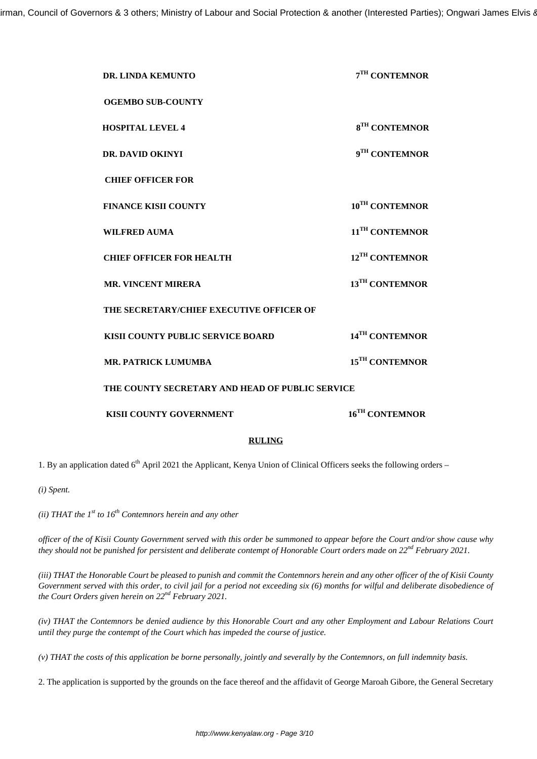| 7TH CONTEMNOR                                   |  |  |
|-------------------------------------------------|--|--|
|                                                 |  |  |
| 8 <sup>TH</sup> CONTEMNOR                       |  |  |
| 9TH CONTEMNOR                                   |  |  |
|                                                 |  |  |
| 10 <sup>TH</sup> CONTEMNOR                      |  |  |
| 11 <sup>TH</sup> CONTEMNOR                      |  |  |
| 12 <sup>TH</sup> CONTEMNOR                      |  |  |
| 13 <sup>TH</sup> CONTEMNOR                      |  |  |
|                                                 |  |  |
| 14 <sup>TH</sup> CONTEMNOR                      |  |  |
| 15 <sup>TH</sup> CONTEMNOR                      |  |  |
| THE COUNTY SECRETARY AND HEAD OF PUBLIC SERVICE |  |  |
| 16 <sup>TH</sup> CONTEMNOR                      |  |  |
|                                                 |  |  |

# **RULING**

1. By an application dated  $6<sup>th</sup>$  April 2021 the Applicant, Kenya Union of Clinical Officers seeks the following orders –

*(i) Spent.*

*(ii)* THAT the  $1^{st}$  to  $16^{th}$  Contemnors herein and any other

*officer of the of Kisii County Government served with this order be summoned to appear before the Court and/or show cause why they should not be punished for persistent and deliberate contempt of Honorable Court orders made on 22nd February 2021.*

*(iii) THAT the Honorable Court be pleased to punish and commit the Contemnors herein and any other officer of the of Kisii County Government served with this order, to civil jail for a period not exceeding six (6) months for wilful and deliberate disobedience of the Court Orders given herein on 22nd February 2021.*

*(iv) THAT the Contemnors be denied audience by this Honorable Court and any other Employment and Labour Relations Court until they purge the contempt of the Court which has impeded the course of justice.*

*(v) THAT the costs of this application be borne personally, jointly and severally by the Contemnors, on full indemnity basis.*

2. The application is supported by the grounds on the face thereof and the affidavit of George Maroah Gibore, the General Secretary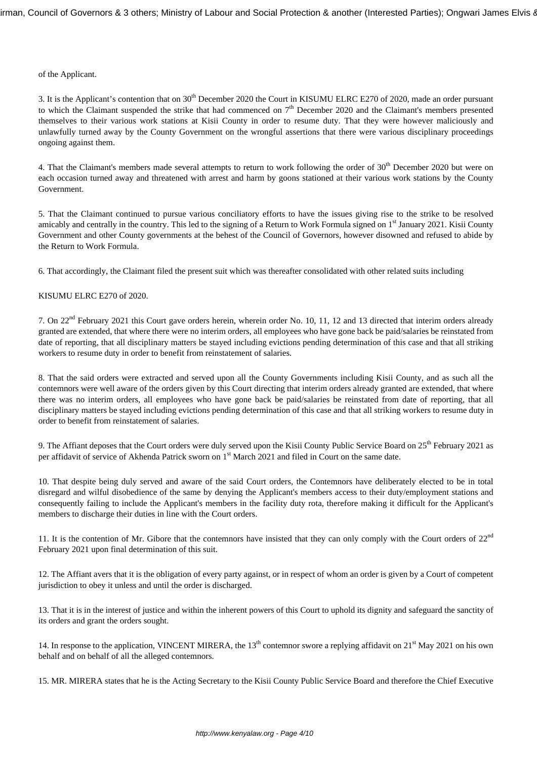of the Applicant.

3. It is the Applicant's contention that on 30<sup>th</sup> December 2020 the Court in KISUMU ELRC E270 of 2020, made an order pursuant to which the Claimant suspended the strike that had commenced on  $7<sup>th</sup>$  December 2020 and the Claimant's members presented themselves to their various work stations at Kisii County in order to resume duty. That they were however maliciously and unlawfully turned away by the County Government on the wrongful assertions that there were various disciplinary proceedings ongoing against them.

4. That the Claimant's members made several attempts to return to work following the order of 30<sup>th</sup> December 2020 but were on each occasion turned away and threatened with arrest and harm by goons stationed at their various work stations by the County Government.

5. That the Claimant continued to pursue various conciliatory efforts to have the issues giving rise to the strike to be resolved amicably and centrally in the country. This led to the signing of a Return to Work Formula signed on 1<sup>st</sup> January 2021. Kisii County Government and other County governments at the behest of the Council of Governors, however disowned and refused to abide by the Return to Work Formula.

6. That accordingly, the Claimant filed the present suit which was thereafter consolidated with other related suits including

KISUMU ELRC E270 of 2020.

7. On 22nd February 2021 this Court gave orders herein, wherein order No. 10, 11, 12 and 13 directed that interim orders already granted are extended, that where there were no interim orders, all employees who have gone back be paid/salaries be reinstated from date of reporting, that all disciplinary matters be stayed including evictions pending determination of this case and that all striking workers to resume duty in order to benefit from reinstatement of salaries.

8. That the said orders were extracted and served upon all the County Governments including Kisii County, and as such all the contemnors were well aware of the orders given by this Court directing that interim orders already granted are extended, that where there was no interim orders, all employees who have gone back be paid/salaries be reinstated from date of reporting, that all disciplinary matters be stayed including evictions pending determination of this case and that all striking workers to resume duty in order to benefit from reinstatement of salaries.

9. The Affiant deposes that the Court orders were duly served upon the Kisii County Public Service Board on  $25<sup>th</sup>$  February 2021 as per affidavit of service of Akhenda Patrick sworn on 1<sup>st</sup> March 2021 and filed in Court on the same date.

10. That despite being duly served and aware of the said Court orders, the Contemnors have deliberately elected to be in total disregard and wilful disobedience of the same by denying the Applicant's members access to their duty/employment stations and consequently failing to include the Applicant's members in the facility duty rota, therefore making it difficult for the Applicant's members to discharge their duties in line with the Court orders.

11. It is the contention of Mr. Gibore that the contemnors have insisted that they can only comply with the Court orders of  $22<sup>nd</sup>$ February 2021 upon final determination of this suit.

12. The Affiant avers that it is the obligation of every party against, or in respect of whom an order is given by a Court of competent jurisdiction to obey it unless and until the order is discharged.

13. That it is in the interest of justice and within the inherent powers of this Court to uphold its dignity and safeguard the sanctity of its orders and grant the orders sought.

14. In response to the application, VINCENT MIRERA, the 13<sup>th</sup> contemnor swore a replying affidavit on 21<sup>st</sup> May 2021 on his own behalf and on behalf of all the alleged contemnors.

15. MR. MIRERA states that he is the Acting Secretary to the Kisii County Public Service Board and therefore the Chief Executive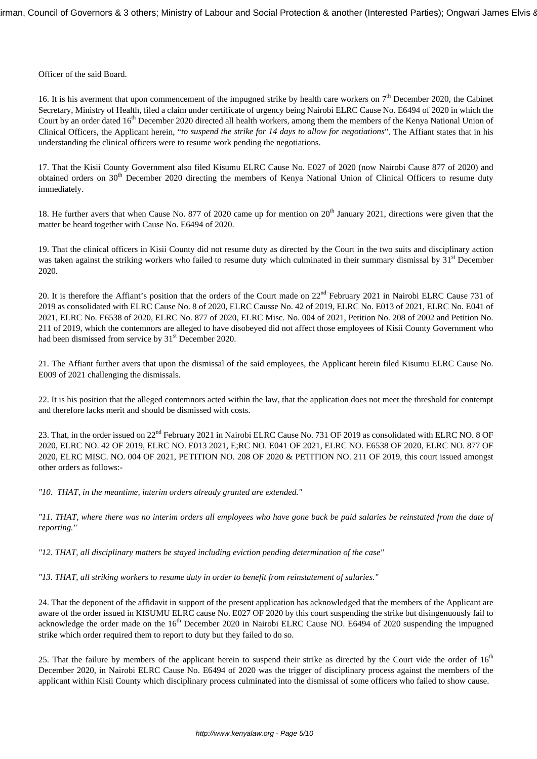Officer of the said Board.

16. It is his averment that upon commencement of the impugned strike by health care workers on  $7<sup>th</sup>$  December 2020, the Cabinet Secretary, Ministry of Health, filed a claim under certificate of urgency being Nairobi ELRC Cause No. E6494 of 2020 in which the Court by an order dated 16<sup>th</sup> December 2020 directed all health workers, among them the members of the Kenya National Union of Clinical Officers, the Applicant herein, "*to suspend the strike for 14 days to allow for negotiations*". The Affiant states that in his understanding the clinical officers were to resume work pending the negotiations.

17. That the Kisii County Government also filed Kisumu ELRC Cause No. E027 of 2020 (now Nairobi Cause 877 of 2020) and obtained orders on 30<sup>th</sup> December 2020 directing the members of Kenya National Union of Clinical Officers to resume duty immediately.

18. He further avers that when Cause No. 877 of 2020 came up for mention on 20<sup>th</sup> January 2021, directions were given that the matter be heard together with Cause No. E6494 of 2020.

19. That the clinical officers in Kisii County did not resume duty as directed by the Court in the two suits and disciplinary action was taken against the striking workers who failed to resume duty which culminated in their summary dismissal by 31<sup>st</sup> December 2020.

20. It is therefore the Affiant's position that the orders of the Court made on  $22<sup>nd</sup>$  February 2021 in Nairobi ELRC Cause 731 of 2019 as consolidated with ELRC Cause No. 8 of 2020, ELRC Causse No. 42 of 2019, ELRC No. E013 of 2021, ELRC No. E041 of 2021, ELRC No. E6538 of 2020, ELRC No. 877 of 2020, ELRC Misc. No. 004 of 2021, Petition No. 208 of 2002 and Petition No. 211 of 2019, which the contemnors are alleged to have disobeyed did not affect those employees of Kisii County Government who had been dismissed from service by 31<sup>st</sup> December 2020.

21. The Affiant further avers that upon the dismissal of the said employees, the Applicant herein filed Kisumu ELRC Cause No. E009 of 2021 challenging the dismissals.

22. It is his position that the alleged contemnors acted within the law, that the application does not meet the threshold for contempt and therefore lacks merit and should be dismissed with costs.

23. That, in the order issued on 22<sup>nd</sup> February 2021 in Nairobi ELRC Cause No. 731 OF 2019 as consolidated with ELRC NO. 8 OF 2020, ELRC NO. 42 OF 2019, ELRC NO. E013 2021, E;RC NO. E041 OF 2021, ELRC NO. E6538 OF 2020, ELRC NO. 877 OF 2020, ELRC MISC. NO. 004 OF 2021, PETITION NO. 208 OF 2020 & PETITION NO. 211 OF 2019, this court issued amongst other orders as follows:-

*"10. THAT, in the meantime, interim orders already granted are extended."*

*"11. THAT, where there was no interim orders all employees who have gone back be paid salaries be reinstated from the date of reporting."*

*"12. THAT, all disciplinary matters be stayed including eviction pending determination of the case"*

*"13. THAT, all striking workers to resume duty in order to benefit from reinstatement of salaries."*

24. That the deponent of the affidavit in support of the present application has acknowledged that the members of the Applicant are aware of the order issued in KISUMU ELRC cause No. E027 OF 2020 by this court suspending the strike but disingenuously fail to acknowledge the order made on the 16<sup>th</sup> December 2020 in Nairobi ELRC Cause NO. E6494 of 2020 suspending the impugned strike which order required them to report to duty but they failed to do so.

25. That the failure by members of the applicant herein to suspend their strike as directed by the Court vide the order of 16<sup>th</sup> December 2020, in Nairobi ELRC Cause No. E6494 of 2020 was the trigger of disciplinary process against the members of the applicant within Kisii County which disciplinary process culminated into the dismissal of some officers who failed to show cause.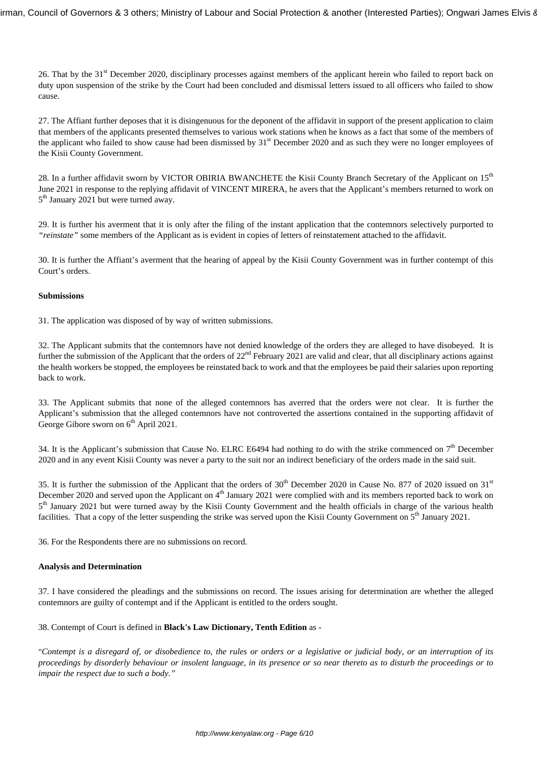26. That by the 31<sup>st</sup> December 2020, disciplinary processes against members of the applicant herein who failed to report back on duty upon suspension of the strike by the Court had been concluded and dismissal letters issued to all officers who failed to show cause.

27. The Affiant further deposes that it is disingenuous for the deponent of the affidavit in support of the present application to claim that members of the applicants presented themselves to various work stations when he knows as a fact that some of the members of the applicant who failed to show cause had been dismissed by 31<sup>st</sup> December 2020 and as such they were no longer employees of the Kisii County Government.

28. In a further affidavit sworn by VICTOR OBIRIA BWANCHETE the Kisii County Branch Secretary of the Applicant on 15<sup>th</sup> June 2021 in response to the replying affidavit of VINCENT MIRERA, he avers that the Applicant's members returned to work on 5<sup>th</sup> January 2021 but were turned away.

29. It is further his averment that it is only after the filing of the instant application that the contemnors selectively purported to *"reinstate"* some members of the Applicant as is evident in copies of letters of reinstatement attached to the affidavit.

30. It is further the Affiant's averment that the hearing of appeal by the Kisii County Government was in further contempt of this Court's orders.

#### **Submissions**

31. The application was disposed of by way of written submissions.

32. The Applicant submits that the contemnors have not denied knowledge of the orders they are alleged to have disobeyed. It is further the submission of the Applicant that the orders of 22<sup>nd</sup> February 2021 are valid and clear, that all disciplinary actions against the health workers be stopped, the employees be reinstated back to work and that the employees be paid their salaries upon reporting back to work.

33. The Applicant submits that none of the alleged contemnors has averred that the orders were not clear. It is further the Applicant's submission that the alleged contemnors have not controverted the assertions contained in the supporting affidavit of George Gibore sworn on  $6<sup>th</sup>$  April 2021.

34. It is the Applicant's submission that Cause No. ELRC E6494 had nothing to do with the strike commenced on  $7<sup>th</sup>$  December 2020 and in any event Kisii County was never a party to the suit nor an indirect beneficiary of the orders made in the said suit.

35. It is further the submission of the Applicant that the orders of  $30<sup>th</sup>$  December 2020 in Cause No. 877 of 2020 issued on 31<sup>st</sup> December 2020 and served upon the Applicant on  $4<sup>th</sup>$  January 2021 were complied with and its members reported back to work on 5<sup>th</sup> January 2021 but were turned away by the Kisii County Government and the health officials in charge of the various health facilities. That a copy of the letter suspending the strike was served upon the Kisii County Government on  $5<sup>th</sup>$  January 2021.

36. For the Respondents there are no submissions on record.

## **Analysis and Determination**

37. I have considered the pleadings and the submissions on record. The issues arising for determination are whether the alleged contemnors are guilty of contempt and if the Applicant is entitled to the orders sought.

38. Contempt of Court is defined in **Black's Law Dictionary, Tenth Edition** as -

"*Contempt is a disregard of, or disobedience to, the rules or orders or a legislative or judicial body, or an interruption of its proceedings by disorderly behaviour or insolent language, in its presence or so near thereto as to disturb the proceedings or to impair the respect due to such a body."*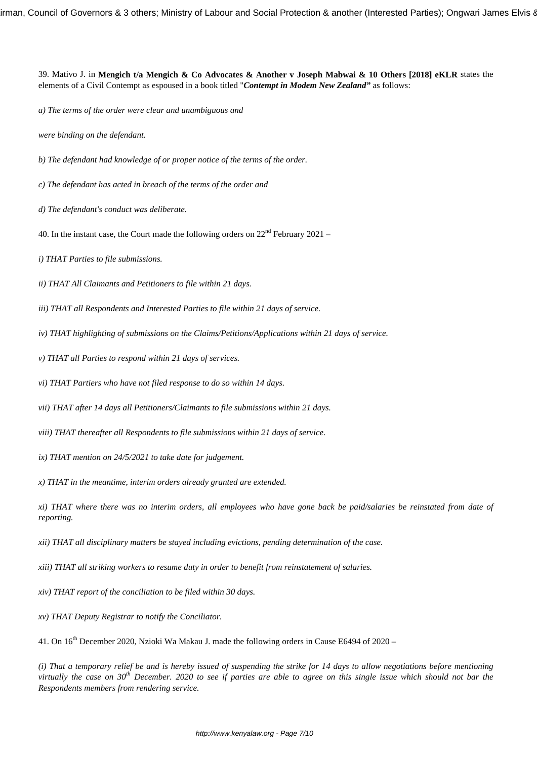39. Mativo J. in **Mengich t/a Mengich & Co Advocates & Another v Joseph Mabwai & 10 Others [2018] eKLR** states the elements of a Civil Contempt as espoused in a book titled "*Contempt in Modem New Zealand"* as follows:

*a) The terms of the order were clear and unambiguous and* 

*were binding on the defendant.*

*b) The defendant had knowledge of or proper notice of the terms of the order.*

*c) The defendant has acted in breach of the terms of the order and*

*d) The defendant's conduct was deliberate.*

40. In the instant case, the Court made the following orders on  $22<sup>nd</sup>$  February 2021 –

*i) THAT Parties to file submissions.*

*ii) THAT All Claimants and Petitioners to file within 21 days.* 

*iii) THAT all Respondents and Interested Parties to file within 21 days of service.*

*iv) THAT highlighting of submissions on the Claims/Petitions/Applications within 21 days of service.*

*v) THAT all Parties to respond within 21 days of services.*

*vi) THAT Partiers who have not filed response to do so within 14 days.*

*vii) THAT after 14 days all Petitioners/Claimants to file submissions within 21 days.*

*viii) THAT thereafter all Respondents to file submissions within 21 days of service.*

*ix) THAT mention on 24/5/2021 to take date for judgement.*

*x) THAT in the meantime, interim orders already granted are extended.*

*xi) THAT where there was no interim orders, all employees who have gone back be paid/salaries be reinstated from date of reporting.*

*xii) THAT all disciplinary matters be stayed including evictions, pending determination of the case.*

*xiii) THAT all striking workers to resume duty in order to benefit from reinstatement of salaries.*

*xiv) THAT report of the conciliation to be filed within 30 days.*

*xv) THAT Deputy Registrar to notify the Conciliator.*

41. On 16th December 2020, Nzioki Wa Makau J. made the following orders in Cause E6494 of 2020 –

*(i) That a temporary relief be and is hereby issued of suspending the strike for 14 days to allow negotiations before mentioning virtually the case on 30th December. 2020 to see if parties are able to agree on this single issue which should not bar the Respondents members from rendering service.*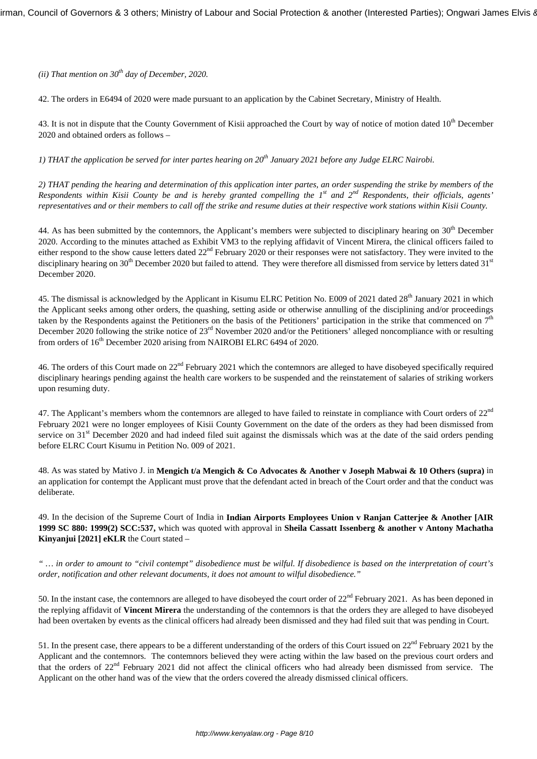*(ii) That mention on 30th day of December, 2020.*

42. The orders in E6494 of 2020 were made pursuant to an application by the Cabinet Secretary, Ministry of Health.

43. It is not in dispute that the County Government of Kisii approached the Court by way of notice of motion dated 10<sup>th</sup> December 2020 and obtained orders as follows –

*1) THAT the application be served for inter partes hearing on 20th January 2021 before any Judge ELRC Nairobi.*

*2) THAT pending the hearing and determination of this application inter partes, an order suspending the strike by members of the Respondents within Kisii County be and is hereby granted compelling the 1st and 2nd Respondents, their officials, agents' representatives and or their members to call off the strike and resume duties at their respective work stations within Kisii County.*

44. As has been submitted by the contemnors, the Applicant's members were subjected to disciplinary hearing on 30<sup>th</sup> December 2020. According to the minutes attached as Exhibit VM3 to the replying affidavit of Vincent Mirera, the clinical officers failed to either respond to the show cause letters dated 22<sup>nd</sup> February 2020 or their responses were not satisfactory. They were invited to the disciplinary hearing on  $30<sup>th</sup>$  December 2020 but failed to attend. They were therefore all dismissed from service by letters dated  $31<sup>st</sup>$ December 2020.

45. The dismissal is acknowledged by the Applicant in Kisumu ELRC Petition No. E009 of 2021 dated 28<sup>th</sup> January 2021 in which the Applicant seeks among other orders, the quashing, setting aside or otherwise annulling of the disciplining and/or proceedings taken by the Respondents against the Petitioners on the basis of the Petitioners' participation in the strike that commenced on  $7<sup>th</sup>$ December 2020 following the strike notice of 23<sup>rd</sup> November 2020 and/or the Petitioners' alleged noncompliance with or resulting from orders of 16<sup>th</sup> December 2020 arising from NAIROBI ELRC 6494 of 2020.

46. The orders of this Court made on 22nd February 2021 which the contemnors are alleged to have disobeyed specifically required disciplinary hearings pending against the health care workers to be suspended and the reinstatement of salaries of striking workers upon resuming duty.

47. The Applicant's members whom the contemnors are alleged to have failed to reinstate in compliance with Court orders of 22<sup>nd</sup> February 2021 were no longer employees of Kisii County Government on the date of the orders as they had been dismissed from service on 31<sup>st</sup> December 2020 and had indeed filed suit against the dismissals which was at the date of the said orders pending before ELRC Court Kisumu in Petition No. 009 of 2021.

48. As was stated by Mativo J. in **Mengich t/a Mengich & Co Advocates & Another v Joseph Mabwai & 10 Others (supra)** in an application for contempt the Applicant must prove that the defendant acted in breach of the Court order and that the conduct was deliberate.

49. In the decision of the Supreme Court of India in **Indian Airports Employees Union v Ranjan Catterjee & Another [AIR 1999 SC 880: 1999(2) SCC:537,** which was quoted with approval in **Sheila Cassatt Issenberg & another v Antony Machatha Kinyanjui [2021] eKLR** the Court stated –

*" … in order to amount to "civil contempt" disobedience must be wilful. If disobedience is based on the interpretation of court's order, notification and other relevant documents, it does not amount to wilful disobedience."*

50. In the instant case, the contemnors are alleged to have disobeyed the court order of  $22<sup>nd</sup>$  February 2021. As has been deponed in the replying affidavit of **Vincent Mirera** the understanding of the contemnors is that the orders they are alleged to have disobeyed had been overtaken by events as the clinical officers had already been dismissed and they had filed suit that was pending in Court.

51. In the present case, there appears to be a different understanding of the orders of this Court issued on 22<sup>nd</sup> February 2021 by the Applicant and the contemnors. The contemnors believed they were acting within the law based on the previous court orders and that the orders of 22<sup>nd</sup> February 2021 did not affect the clinical officers who had already been dismissed from service. The Applicant on the other hand was of the view that the orders covered the already dismissed clinical officers.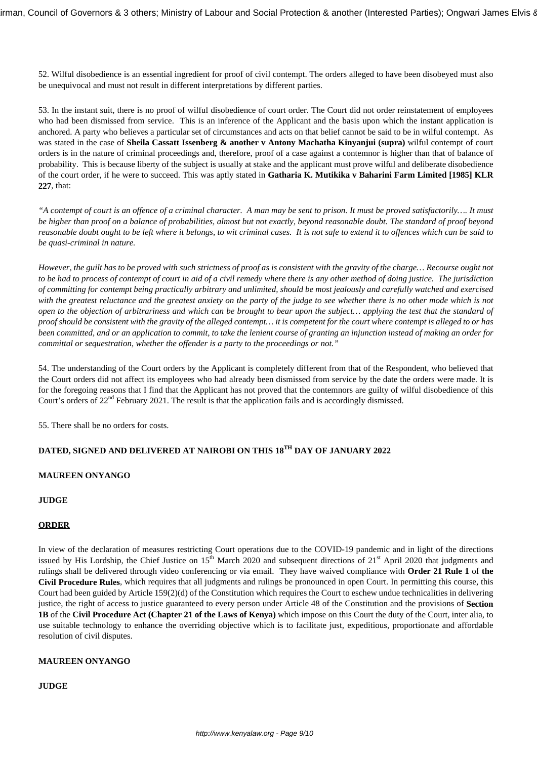52. Wilful disobedience is an essential ingredient for proof of civil contempt. The orders alleged to have been disobeyed must also be unequivocal and must not result in different interpretations by different parties.

53. In the instant suit, there is no proof of wilful disobedience of court order. The Court did not order reinstatement of employees who had been dismissed from service. This is an inference of the Applicant and the basis upon which the instant application is anchored. A party who believes a particular set of circumstances and acts on that belief cannot be said to be in wilful contempt. As was stated in the case of **Sheila Cassatt Issenberg & another v Antony Machatha Kinyanjui (supra)** wilful contempt of court orders is in the nature of criminal proceedings and, therefore, proof of a case against a contemnor is higher than that of balance of probability. This is because liberty of the subject is usually at stake and the applicant must prove wilful and deliberate disobedience of the court order, if he were to succeed. This was aptly stated in **Gatharia K. Mutikika v Baharini Farm Limited [1985] KLR 227**, that:

*"A contempt of court is an offence of a criminal character. A man may be sent to prison. It must be proved satisfactorily…. It must be higher than proof on a balance of probabilities, almost but not exactly, beyond reasonable doubt. The standard of proof beyond reasonable doubt ought to be left where it belongs, to wit criminal cases. It is not safe to extend it to offences which can be said to be quasi-criminal in nature.*

*However, the guilt has to be proved with such strictness of proof as is consistent with the gravity of the charge… Recourse ought not to be had to process of contempt of court in aid of a civil remedy where there is any other method of doing justice. The jurisdiction of committing for contempt being practically arbitrary and unlimited, should be most jealously and carefully watched and exercised with the greatest reluctance and the greatest anxiety on the party of the judge to see whether there is no other mode which is not open to the objection of arbitrariness and which can be brought to bear upon the subject… applying the test that the standard of proof should be consistent with the gravity of the alleged contempt… it is competent for the court where contempt is alleged to or has been committed, and or an application to commit, to take the lenient course of granting an injunction instead of making an order for committal or sequestration, whether the offender is a party to the proceedings or not."*

54. The understanding of the Court orders by the Applicant is completely different from that of the Respondent, who believed that the Court orders did not affect its employees who had already been dismissed from service by the date the orders were made. It is for the foregoing reasons that I find that the Applicant has not proved that the contemnors are guilty of wilful disobedience of this Court's orders of 22nd February 2021. The result is that the application fails and is accordingly dismissed.

55. There shall be no orders for costs.

# **DATED, SIGNED AND DELIVERED AT NAIROBI ON THIS 18TH DAY OF JANUARY 2022**

## **MAUREEN ONYANGO**

## **JUDGE**

## **ORDER**

In view of the declaration of measures restricting Court operations due to the COVID-19 pandemic and in light of the directions issued by His Lordship, the Chief Justice on  $15^{th}$  March 2020 and subsequent directions of  $21^{st}$  April 2020 that judgments and rulings shall be delivered through video conferencing or via email. They have waived compliance with **Order 21 Rule 1** of **the Civil Procedure Rules**, which requires that all judgments and rulings be pronounced in open Court. In permitting this course, this Court had been guided by Article 159(2)(d) of the Constitution which requires the Court to eschew undue technicalities in delivering justice, the right of access to justice guaranteed to every person under Article 48 of the Constitution and the provisions of **Section 1B** of the **Civil Procedure Act (Chapter 21 of the Laws of Kenya)** which impose on this Court the duty of the Court, inter alia, to use suitable technology to enhance the overriding objective which is to facilitate just, expeditious, proportionate and affordable resolution of civil disputes.

## **MAUREEN ONYANGO**

**JUDGE**